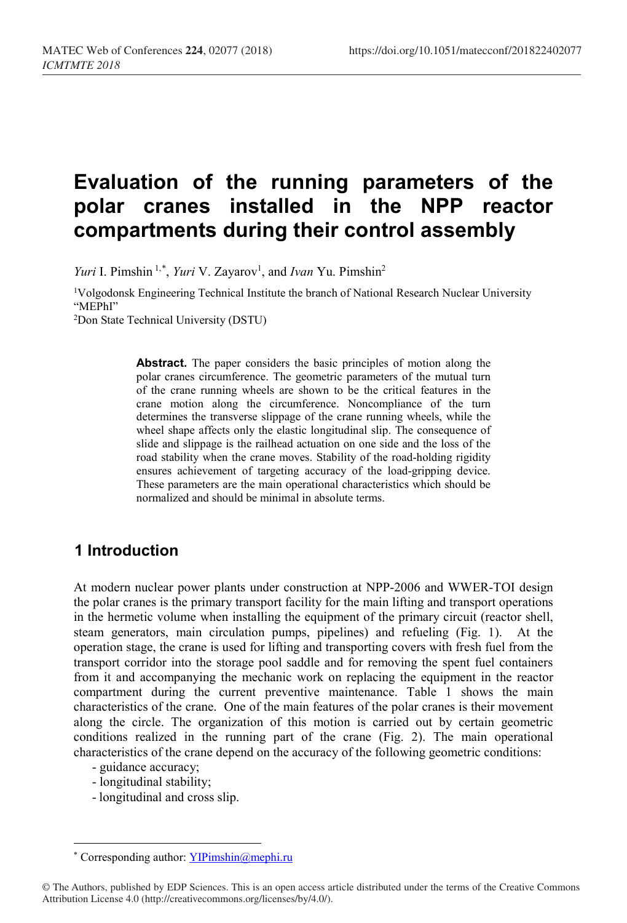# **Evaluation of the running parameters of the polar cranes installed in the NPP reactor compartments during their control assembly**

Yuri I. Pimshin<sup>1,[\\*](#page-0-0)</sup>, *Yuri* V. Zayarov<sup>1</sup>, and *Ivan* Yu. Pimshin<sup>2</sup>

1Volgodonsk Engineering Technical Institute the branch of National Research Nuclear University "MEPhI" 2Don State Technical University (DSTU)

> **Abstract.** The paper considers the basic principles of motion along the polar cranes circumference. The geometric parameters of the mutual turn of the crane running wheels are shown to be the critical features in the crane motion along the circumference. Noncompliance of the turn determines the transverse slippage of the crane running wheels, while the wheel shape affects only the elastic longitudinal slip. The consequence of slide and slippage is the railhead actuation on one side and the loss of the road stability when the crane moves. Stability of the road-holding rigidity ensures achievement of targeting accuracy of the load-gripping device. These parameters are the main operational characteristics which should be normalized and should be minimal in absolute terms.

# **1 Introduction**

At modern nuclear power plants under construction at NPP-2006 and WWER-TOI design the polar cranes is the primary transport facility for the main lifting and transport operations in the hermetic volume when installing the equipment of the primary circuit (reactor shell, steam generators, main circulation pumps, pipelines) and refueling (Fig. 1). At the operation stage, the crane is used for lifting and transporting covers with fresh fuel from the transport corridor into the storage pool saddle and for removing the spent fuel containers from it and accompanying the mechanic work on replacing the equipment in the reactor compartment during the current preventive maintenance. Table 1 shows the main characteristics of the crane. One of the main features of the polar cranes is their movement along the circle. The organization of this motion is carried out by certain geometric conditions realized in the running part of the crane (Fig. 2). The main operational characteristics of the crane depend on the accuracy of the following geometric conditions:

- guidance accuracy;

 $\overline{\phantom{a}}$ 

- longitudinal stability;
- longitudinal and cross slip.

<sup>\*</sup> Corresponding author: YIPimshin@mephi.ru

<span id="page-0-0"></span><sup>©</sup> The Authors, published by EDP Sciences. This is an open access article distributed under the terms of the Creative Commons Attribution License 4.0 (http://creativecommons.org/licenses/by/4.0/).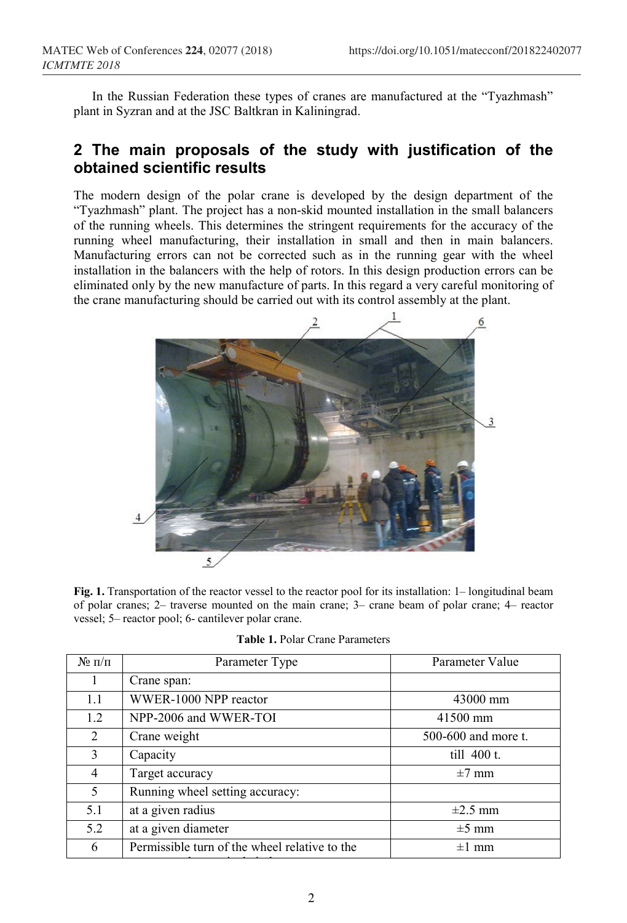In the Russian Federation these types of cranes are manufactured at the "Tyazhmash" plant in Syzran and at the JSC Baltkran in Kaliningrad.

## **2 The main proposals of the study with justification of the obtained scientific results**

The modern design of the polar crane is developed by the design department of the "Tyazhmash" plant. The project has a non-skid mounted installation in the small balancers of the running wheels. This determines the stringent requirements for the accuracy of the running wheel manufacturing, their installation in small and then in main balancers. Manufacturing errors can not be corrected such as in the running gear with the wheel installation in the balancers with the help of rotors. In this design production errors can be eliminated only by the new manufacture of parts. In this regard a very careful monitoring of the crane manufacturing should be carried out with its control assembly at the plant.



**Fig. 1.** Transportation of the reactor vessel to the reactor pool for its installation: 1– longitudinal beam of polar cranes; 2– traverse mounted on the main crane; 3– crane beam of polar crane; 4– reactor vessel; 5– reactor pool; 6- cantilever polar crane.

| $N_2 \pi/\pi$  | Parameter Type                                | Parameter Value     |  |  |
|----------------|-----------------------------------------------|---------------------|--|--|
|                | Crane span:                                   |                     |  |  |
| 1.1            | WWER-1000 NPP reactor                         | 43000 mm            |  |  |
| 1.2            | NPP-2006 and WWER-TOI                         | $41500$ mm          |  |  |
| $\mathfrak{D}$ | Crane weight                                  | 500-600 and more t. |  |  |
| 3              | Capacity                                      | till $400$ t.       |  |  |
| 4              | Target accuracy                               | $\pm 7$ mm          |  |  |
| 5              | Running wheel setting accuracy:               |                     |  |  |
| 5.1            | at a given radius                             | $\pm 2.5$ mm        |  |  |
| 5.2            | at a given diameter                           | $\pm 5$ mm          |  |  |
| 6              | Permissible turn of the wheel relative to the | $\pm 1$ mm          |  |  |
|                |                                               |                     |  |  |

**Table 1.** Polar Crane Parameters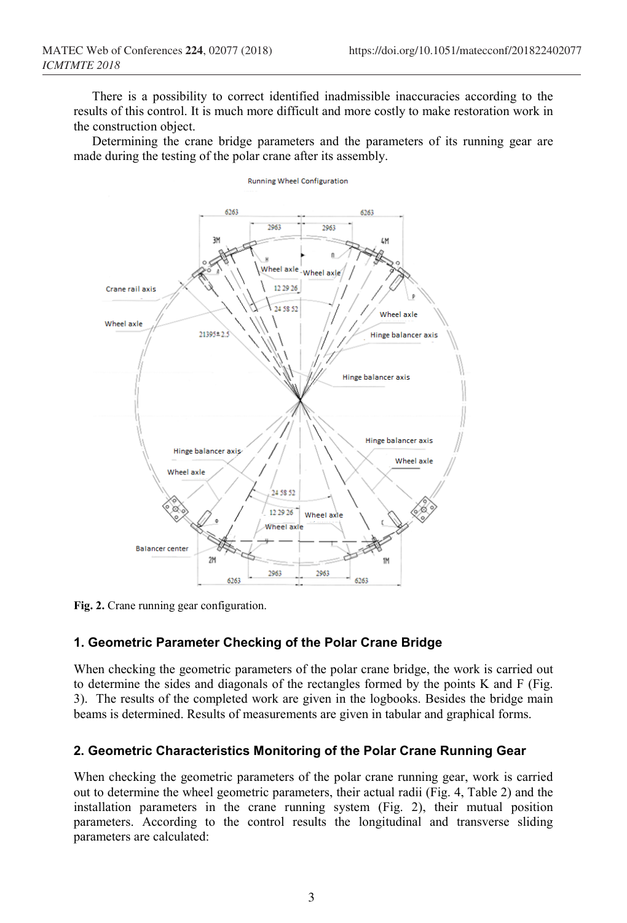There is a possibility to correct identified inadmissible inaccuracies according to the results of this control. It is much more difficult and more costly to make restoration work in the construction object.

Determining the crane bridge parameters and the parameters of its running gear are made during the testing of the polar crane after its assembly.



Running Wheel Configuration

**Fig. 2.** Crane running gear configuration.

#### **1. Geometric Parameter Checking of the Polar Crane Bridge**

When checking the geometric parameters of the polar crane bridge, the work is carried out to determine the sides and diagonals of the rectangles formed by the points K and F (Fig. 3). The results of the completed work are given in the logbooks. Besides the bridge main beams is determined. Results of measurements are given in tabular and graphical forms.

#### **2. Geometric Characteristics Monitoring of the Polar Crane Running Gear**

When checking the geometric parameters of the polar crane running gear, work is carried out to determine the wheel geometric parameters, their actual radii (Fig. 4, Table 2) and the installation parameters in the crane running system (Fig. 2), their mutual position parameters. According to the control results the longitudinal and transverse sliding parameters are calculated: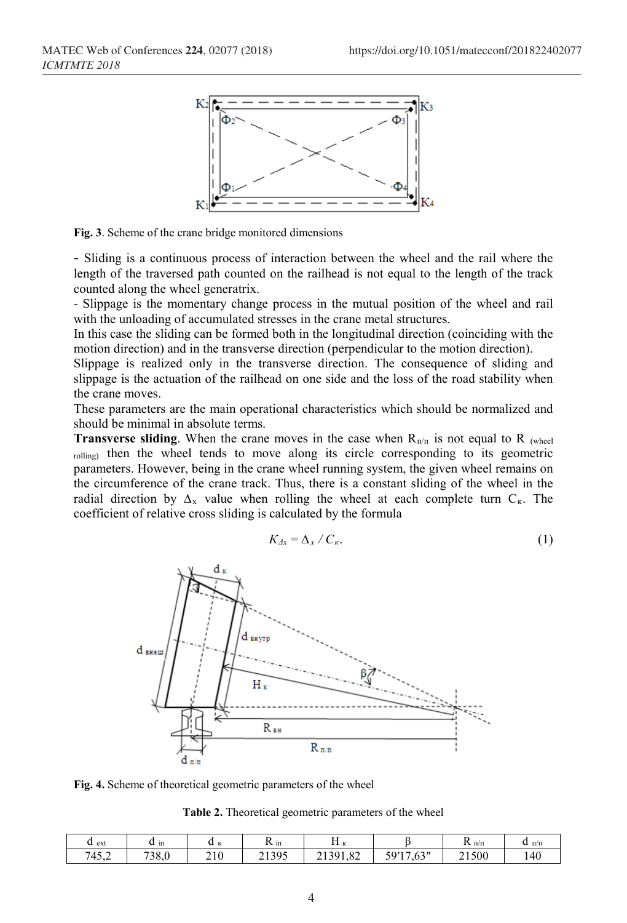

**Fig. 3**. Scheme of the crane bridge monitored dimensions

- Sliding is a continuous process of interaction between the wheel and the rail where the length of the traversed path counted on the railhead is not equal to the length of the track counted along the wheel generatrix.

- Slippage is the momentary change process in the mutual position of the wheel and rail with the unloading of accumulated stresses in the crane metal structures.

In this case the sliding can be formed both in the longitudinal direction (coinciding with the motion direction) and in the transverse direction (perpendicular to the motion direction).

Slippage is realized only in the transverse direction. The consequence of sliding and slippage is the actuation of the railhead on one side and the loss of the road stability when the crane moves.

These parameters are the main operational characteristics which should be normalized and should be minimal in absolute terms.

**Transverse sliding**. When the crane moves in the case when  $R_{\text{n/n}}$  is not equal to R (wheel) rolling) then the wheel tends to move along its circle corresponding to its geometric parameters. However, being in the crane wheel running system, the given wheel remains on the circumference of the crane track. Thus, there is a constant sliding of the wheel in the radial direction by  $\Delta_x$  value when rolling the wheel at each complete turn  $C_x$ . The coefficient of relative cross sliding is calculated by the formula

$$
K_{\Delta x} = \Delta_x / C_{\kappa}.\tag{1}
$$



**Fig. 4.** Scheme of theoretical geometric parameters of the wheel

| Table 2. Theoretical geometric parameters of the wheel |  |  |  |  |
|--------------------------------------------------------|--|--|--|--|
|--------------------------------------------------------|--|--|--|--|

| u ext | m<br>u | <b>XX</b><br>u<br>$\mathbf{r}$ | $N_{\rm 1D}$ | $-$<br><b>MA</b><br><br>ĸ         |                                 | - п/п<br>17 | п/п<br>u |
|-------|--------|--------------------------------|--------------|-----------------------------------|---------------------------------|-------------|----------|
| 745,2 | 738,0  | 210                            | 21395        | $\circ$<br>21301<br>1.82<br>- 199 | $\sqrt{2}$<br>59/17<br>.03<br>◡ | 21500       | 140      |